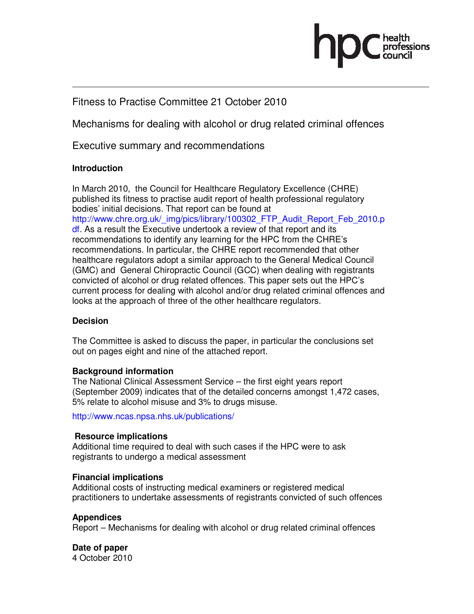

# Fitness to Practise Committee 21 October 2010

Mechanisms for dealing with alcohol or drug related criminal offences

Executive summary and recommendations

### **Introduction**

In March 2010, the Council for Healthcare Regulatory Excellence (CHRE) published its fitness to practise audit report of health professional regulatory bodies' initial decisions. That report can be found at http://www.chre.org.uk/\_img/pics/library/100302\_FTP\_Audit\_Report\_Feb\_2010.p df. As a result the Executive undertook a review of that report and its recommendations to identify any learning for the HPC from the CHRE's recommendations. In particular, the CHRE report recommended that other healthcare regulators adopt a similar approach to the General Medical Council (GMC) and General Chiropractic Council (GCC) when dealing with registrants convicted of alcohol or drug related offences. This paper sets out the HPC's current process for dealing with alcohol and/or drug related criminal offences and looks at the approach of three of the other healthcare regulators.

### **Decision**

The Committee is asked to discuss the paper, in particular the conclusions set out on pages eight and nine of the attached report.

### **Background information**

The National Clinical Assessment Service – the first eight years report (September 2009) indicates that of the detailed concerns amongst 1,472 cases, 5% relate to alcohol misuse and 3% to drugs misuse.

http://www.ncas.npsa.nhs.uk/publications/

### **Resource implications**

Additional time required to deal with such cases if the HPC were to ask registrants to undergo a medical assessment

### **Financial implications**

Additional costs of instructing medical examiners or registered medical practitioners to undertake assessments of registrants convicted of such offences

### **Appendices**

Report – Mechanisms for dealing with alcohol or drug related criminal offences

# **Date of paper**

4 October 2010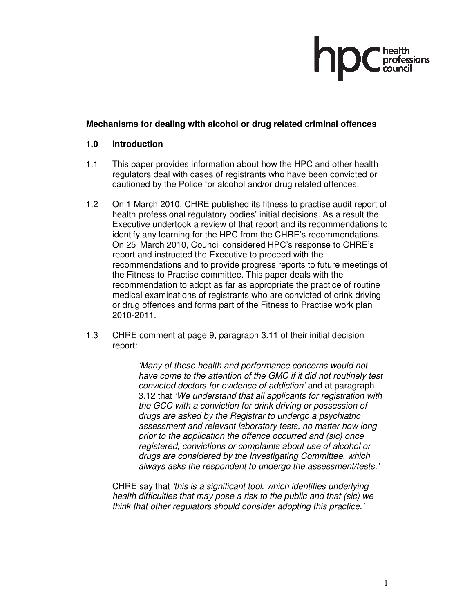

### **Mechanisms for dealing with alcohol or drug related criminal offences**

#### **1.0 Introduction**

- 1.1 This paper provides information about how the HPC and other health regulators deal with cases of registrants who have been convicted or cautioned by the Police for alcohol and/or drug related offences.
- 1.2 On 1 March 2010, CHRE published its fitness to practise audit report of health professional regulatory bodies' initial decisions. As a result the Executive undertook a review of that report and its recommendations to identify any learning for the HPC from the CHRE's recommendations. On 25 March 2010, Council considered HPC's response to CHRE's report and instructed the Executive to proceed with the recommendations and to provide progress reports to future meetings of the Fitness to Practise committee. This paper deals with the recommendation to adopt as far as appropriate the practice of routine medical examinations of registrants who are convicted of drink driving or drug offences and forms part of the Fitness to Practise work plan 2010-2011.
- 1.3 CHRE comment at page 9, paragraph 3.11 of their initial decision report:

'Many of these health and performance concerns would not have come to the attention of the GMC if it did not routinely test convicted doctors for evidence of addiction' and at paragraph 3.12 that 'We understand that all applicants for registration with the GCC with a conviction for drink driving or possession of drugs are asked by the Registrar to undergo a psychiatric assessment and relevant laboratory tests, no matter how long prior to the application the offence occurred and (sic) once registered, convictions or complaints about use of alcohol or drugs are considered by the Investigating Committee, which always asks the respondent to undergo the assessment/tests.'

CHRE say that 'this is a significant tool, which identifies underlying health difficulties that may pose a risk to the public and that (sic) we think that other regulators should consider adopting this practice.'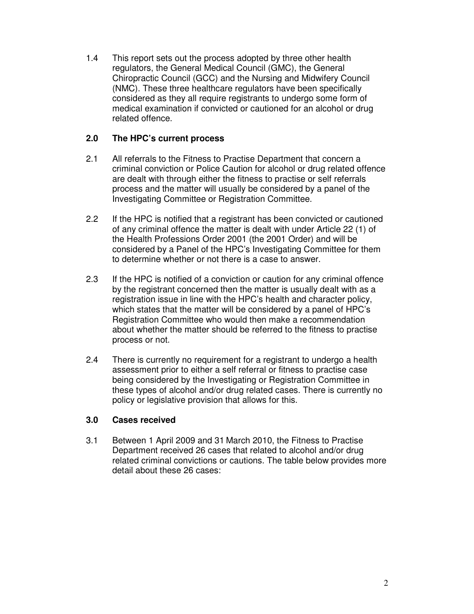1.4 This report sets out the process adopted by three other health regulators, the General Medical Council (GMC), the General Chiropractic Council (GCC) and the Nursing and Midwifery Council (NMC). These three healthcare regulators have been specifically considered as they all require registrants to undergo some form of medical examination if convicted or cautioned for an alcohol or drug related offence.

### **2.0 The HPC's current process**

- 2.1 All referrals to the Fitness to Practise Department that concern a criminal conviction or Police Caution for alcohol or drug related offence are dealt with through either the fitness to practise or self referrals process and the matter will usually be considered by a panel of the Investigating Committee or Registration Committee.
- 2.2 If the HPC is notified that a registrant has been convicted or cautioned of any criminal offence the matter is dealt with under Article 22 (1) of the Health Professions Order 2001 (the 2001 Order) and will be considered by a Panel of the HPC's Investigating Committee for them to determine whether or not there is a case to answer.
- 2.3 If the HPC is notified of a conviction or caution for any criminal offence by the registrant concerned then the matter is usually dealt with as a registration issue in line with the HPC's health and character policy, which states that the matter will be considered by a panel of HPC's Registration Committee who would then make a recommendation about whether the matter should be referred to the fitness to practise process or not.
- 2.4 There is currently no requirement for a registrant to undergo a health assessment prior to either a self referral or fitness to practise case being considered by the Investigating or Registration Committee in these types of alcohol and/or drug related cases. There is currently no policy or legislative provision that allows for this.

# **3.0 Cases received**

3.1 Between 1 April 2009 and 31 March 2010, the Fitness to Practise Department received 26 cases that related to alcohol and/or drug related criminal convictions or cautions. The table below provides more detail about these 26 cases: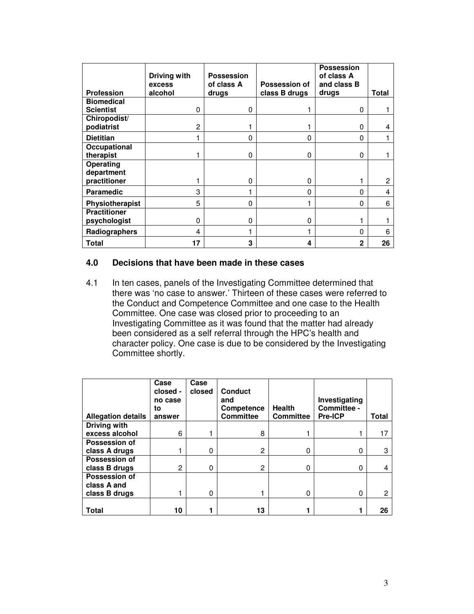| <b>Profession</b>                     | Driving with<br>excess | <b>Possession</b><br>of class A | Possession of | <b>Possession</b><br>of class A<br>and class B |       |
|---------------------------------------|------------------------|---------------------------------|---------------|------------------------------------------------|-------|
|                                       | alcohol                | drugs                           | class B drugs | drugs                                          | Total |
| <b>Biomedical</b><br><b>Scientist</b> | $\Omega$               | 0                               |               | 0                                              |       |
| Chiropodist/<br>podiatrist            | 2                      |                                 |               | 0                                              | 4     |
| <b>Dietitian</b>                      |                        | 0                               | 0             | 0                                              |       |
| Occupational<br>therapist             |                        | 0                               | $\Omega$      | 0                                              |       |
| Operating<br>department               |                        |                                 |               |                                                |       |
| practitioner                          |                        | 0                               | $\Omega$      |                                                | 2     |
| Paramedic                             | 3                      |                                 | 0             | 0                                              | 4     |
| Physiotherapist                       | 5                      | 0                               |               | 0                                              | 6     |
| <b>Practitioner</b><br>psychologist   | $\Omega$               | 0                               | 0             |                                                |       |
| Radiographers                         | 4                      |                                 |               | 0                                              | 6     |
| Total                                 | 17                     | 3                               | 4             | 2                                              | 26    |

### **4.0 Decisions that have been made in these cases**

4.1 In ten cases, panels of the Investigating Committee determined that there was 'no case to answer.' Thirteen of these cases were referred to the Conduct and Competence Committee and one case to the Health Committee. One case was closed prior to proceeding to an Investigating Committee as it was found that the matter had already been considered as a self referral through the HPC's health and character policy. One case is due to be considered by the Investigating Committee shortly.

| <b>Allegation details</b> | Case<br>closed -<br>no case<br>to<br>answer | Case<br>closed | Conduct<br>and<br>Competence<br><b>Committee</b> | <b>Health</b><br><b>Committee</b> | Investigating<br>Committee -<br><b>Pre-ICP</b> | Total        |
|---------------------------|---------------------------------------------|----------------|--------------------------------------------------|-----------------------------------|------------------------------------------------|--------------|
| Driving with              |                                             |                |                                                  |                                   |                                                |              |
| excess alcohol            | 6                                           |                | 8                                                |                                   |                                                | 17           |
| <b>Possession of</b>      |                                             |                |                                                  |                                   |                                                |              |
| class A drugs             |                                             | 0              | 2                                                | 0                                 | O                                              | 3            |
| Possession of             |                                             |                |                                                  |                                   |                                                |              |
| class B drugs             | 2                                           | 0              | 2                                                | 0                                 | 0                                              | 4            |
| Possession of             |                                             |                |                                                  |                                   |                                                |              |
| class A and               |                                             |                |                                                  |                                   |                                                |              |
| class B drugs             |                                             | 0              |                                                  | 0                                 |                                                | $\mathbf{c}$ |
| Total                     | 10                                          |                | 13                                               |                                   |                                                | 26           |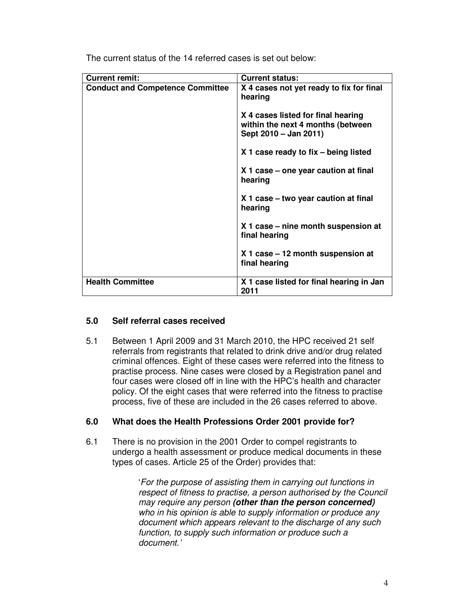| <b>Current remit:</b>                   | <b>Current status:</b>                                                                           |  |  |
|-----------------------------------------|--------------------------------------------------------------------------------------------------|--|--|
| <b>Conduct and Competence Committee</b> | X 4 cases not yet ready to fix for final<br>hearing                                              |  |  |
|                                         | X 4 cases listed for final hearing<br>within the next 4 months (between<br>Sept 2010 - Jan 2011) |  |  |
|                                         | X 1 case ready to fix – being listed                                                             |  |  |
|                                         | X 1 case – one year caution at final<br>hearing                                                  |  |  |
|                                         | X 1 case – two year caution at final<br>hearing                                                  |  |  |
|                                         | X 1 case – nine month suspension at<br>final hearing                                             |  |  |
|                                         | X 1 case – 12 month suspension at<br>final hearing                                               |  |  |
| <b>Health Committee</b>                 | X 1 case listed for final hearing in Jan<br>2011                                                 |  |  |

The current status of the 14 referred cases is set out below:

### **5.0 Self referral cases received**

5.1 Between 1 April 2009 and 31 March 2010, the HPC received 21 self referrals from registrants that related to drink drive and/or drug related criminal offences. Eight of these cases were referred into the fitness to practise process. Nine cases were closed by a Registration panel and four cases were closed off in line with the HPC's health and character policy. Of the eight cases that were referred into the fitness to practise process, five of these are included in the 26 cases referred to above.

# **6.0 What does the Health Professions Order 2001 provide for?**

6.1 There is no provision in the 2001 Order to compel registrants to undergo a health assessment or produce medical documents in these types of cases. Article 25 of the Order) provides that:

> 'For the purpose of assisting them in carrying out functions in respect of fitness to practise, a person authorised by the Council may require any person **(other than the person concerned)** who in his opinion is able to supply information or produce any document which appears relevant to the discharge of any such function, to supply such information or produce such a document.'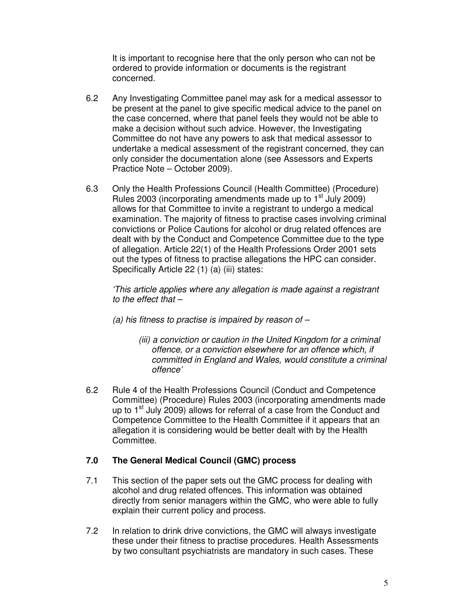It is important to recognise here that the only person who can not be ordered to provide information or documents is the registrant concerned.

- 6.2 Any Investigating Committee panel may ask for a medical assessor to be present at the panel to give specific medical advice to the panel on the case concerned, where that panel feels they would not be able to make a decision without such advice. However, the Investigating Committee do not have any powers to ask that medical assessor to undertake a medical assessment of the registrant concerned, they can only consider the documentation alone (see Assessors and Experts Practice Note – October 2009).
- 6.3 Only the Health Professions Council (Health Committee) (Procedure) Rules 2003 (incorporating amendments made up to  $1<sup>st</sup>$  July 2009) allows for that Committee to invite a registrant to undergo a medical examination. The majority of fitness to practise cases involving criminal convictions or Police Cautions for alcohol or drug related offences are dealt with by the Conduct and Competence Committee due to the type of allegation. Article 22(1) of the Health Professions Order 2001 sets out the types of fitness to practise allegations the HPC can consider. Specifically Article 22 (1) (a) (iii) states:

'This article applies where any allegation is made against a registrant to the effect that  $-$ 

- (a) his fitness to practise is impaired by reason of  $-$ 
	- (iii) a conviction or caution in the United Kingdom for a criminal offence, or a conviction elsewhere for an offence which, if committed in England and Wales, would constitute a criminal offence'
- 6.2 Rule 4 of the Health Professions Council (Conduct and Competence Committee) (Procedure) Rules 2003 (incorporating amendments made up to  $1<sup>st</sup>$  July 2009) allows for referral of a case from the Conduct and Competence Committee to the Health Committee if it appears that an allegation it is considering would be better dealt with by the Health Committee.

### **7.0 The General Medical Council (GMC) process**

- 7.1 This section of the paper sets out the GMC process for dealing with alcohol and drug related offences. This information was obtained directly from senior managers within the GMC, who were able to fully explain their current policy and process.
- 7.2 In relation to drink drive convictions, the GMC will always investigate these under their fitness to practise procedures. Health Assessments by two consultant psychiatrists are mandatory in such cases. These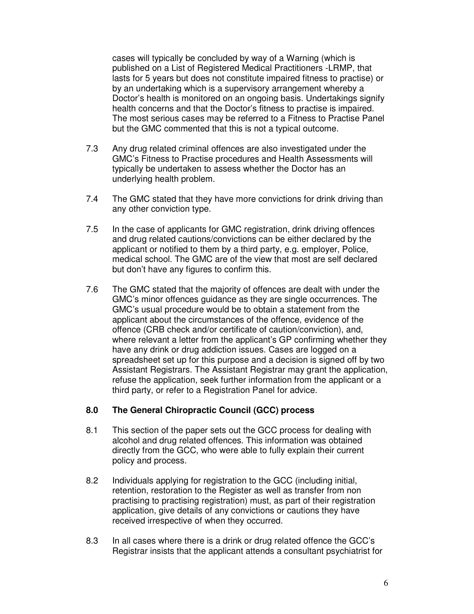cases will typically be concluded by way of a Warning (which is published on a List of Registered Medical Practitioners -LRMP, that lasts for 5 years but does not constitute impaired fitness to practise) or by an undertaking which is a supervisory arrangement whereby a Doctor's health is monitored on an ongoing basis. Undertakings signify health concerns and that the Doctor's fitness to practise is impaired. The most serious cases may be referred to a Fitness to Practise Panel but the GMC commented that this is not a typical outcome.

- 7.3 Any drug related criminal offences are also investigated under the GMC's Fitness to Practise procedures and Health Assessments will typically be undertaken to assess whether the Doctor has an underlying health problem.
- 7.4 The GMC stated that they have more convictions for drink driving than any other conviction type.
- 7.5 In the case of applicants for GMC registration, drink driving offences and drug related cautions/convictions can be either declared by the applicant or notified to them by a third party, e.g. employer, Police, medical school. The GMC are of the view that most are self declared but don't have any figures to confirm this.
- 7.6 The GMC stated that the majority of offences are dealt with under the GMC's minor offences guidance as they are single occurrences. The GMC's usual procedure would be to obtain a statement from the applicant about the circumstances of the offence, evidence of the offence (CRB check and/or certificate of caution/conviction), and, where relevant a letter from the applicant's GP confirming whether they have any drink or drug addiction issues. Cases are logged on a spreadsheet set up for this purpose and a decision is signed off by two Assistant Registrars. The Assistant Registrar may grant the application, refuse the application, seek further information from the applicant or a third party, or refer to a Registration Panel for advice.

### **8.0 The General Chiropractic Council (GCC) process**

- 8.1 This section of the paper sets out the GCC process for dealing with alcohol and drug related offences. This information was obtained directly from the GCC, who were able to fully explain their current policy and process.
- 8.2 Individuals applying for registration to the GCC (including initial, retention, restoration to the Register as well as transfer from non practising to practising registration) must, as part of their registration application, give details of any convictions or cautions they have received irrespective of when they occurred.
- 8.3 In all cases where there is a drink or drug related offence the GCC's Registrar insists that the applicant attends a consultant psychiatrist for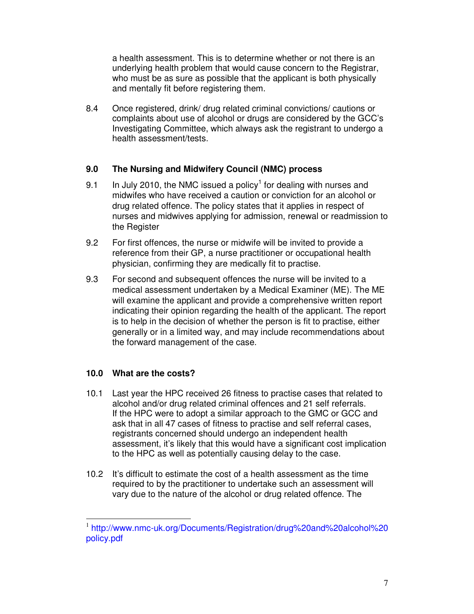a health assessment. This is to determine whether or not there is an underlying health problem that would cause concern to the Registrar, who must be as sure as possible that the applicant is both physically and mentally fit before registering them.

8.4 Once registered, drink/ drug related criminal convictions/ cautions or complaints about use of alcohol or drugs are considered by the GCC's Investigating Committee, which always ask the registrant to undergo a health assessment/tests.

### **9.0 The Nursing and Midwifery Council (NMC) process**

- 9.1 In July 2010, the NMC issued a policy<sup>1</sup> for dealing with nurses and midwifes who have received a caution or conviction for an alcohol or drug related offence. The policy states that it applies in respect of nurses and midwives applying for admission, renewal or readmission to the Register
- 9.2 For first offences, the nurse or midwife will be invited to provide a reference from their GP, a nurse practitioner or occupational health physician, confirming they are medically fit to practise.
- 9.3 For second and subsequent offences the nurse will be invited to a medical assessment undertaken by a Medical Examiner (ME). The ME will examine the applicant and provide a comprehensive written report indicating their opinion regarding the health of the applicant. The report is to help in the decision of whether the person is fit to practise, either generally or in a limited way, and may include recommendations about the forward management of the case.

# **10.0 What are the costs?**

 $\overline{a}$ 

- 10.1 Last year the HPC received 26 fitness to practise cases that related to alcohol and/or drug related criminal offences and 21 self referrals. If the HPC were to adopt a similar approach to the GMC or GCC and ask that in all 47 cases of fitness to practise and self referral cases, registrants concerned should undergo an independent health assessment, it's likely that this would have a significant cost implication to the HPC as well as potentially causing delay to the case.
- 10.2 It's difficult to estimate the cost of a health assessment as the time required to by the practitioner to undertake such an assessment will vary due to the nature of the alcohol or drug related offence. The

<sup>1</sup> http://www.nmc-uk.org/Documents/Registration/drug%20and%20alcohol%20 policy.pdf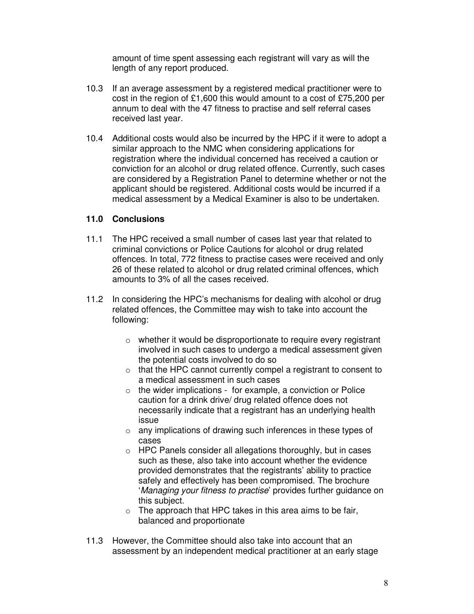amount of time spent assessing each registrant will vary as will the length of any report produced.

- 10.3 If an average assessment by a registered medical practitioner were to cost in the region of £1,600 this would amount to a cost of £75,200 per annum to deal with the 47 fitness to practise and self referral cases received last year.
- 10.4 Additional costs would also be incurred by the HPC if it were to adopt a similar approach to the NMC when considering applications for registration where the individual concerned has received a caution or conviction for an alcohol or drug related offence. Currently, such cases are considered by a Registration Panel to determine whether or not the applicant should be registered. Additional costs would be incurred if a medical assessment by a Medical Examiner is also to be undertaken.

### **11.0 Conclusions**

- 11.1 The HPC received a small number of cases last year that related to criminal convictions or Police Cautions for alcohol or drug related offences. In total, 772 fitness to practise cases were received and only 26 of these related to alcohol or drug related criminal offences, which amounts to 3% of all the cases received.
- 11.2 In considering the HPC's mechanisms for dealing with alcohol or drug related offences, the Committee may wish to take into account the following:
	- o whether it would be disproportionate to require every registrant involved in such cases to undergo a medical assessment given the potential costs involved to do so
	- o that the HPC cannot currently compel a registrant to consent to a medical assessment in such cases
	- $\circ$  the wider implications for example, a conviction or Police caution for a drink drive/ drug related offence does not necessarily indicate that a registrant has an underlying health issue
	- o any implications of drawing such inferences in these types of cases
	- o HPC Panels consider all allegations thoroughly, but in cases such as these, also take into account whether the evidence provided demonstrates that the registrants' ability to practice safely and effectively has been compromised. The brochure 'Managing your fitness to practise' provides further guidance on this subject.
	- $\circ$  The approach that HPC takes in this area aims to be fair, balanced and proportionate
- 11.3 However, the Committee should also take into account that an assessment by an independent medical practitioner at an early stage